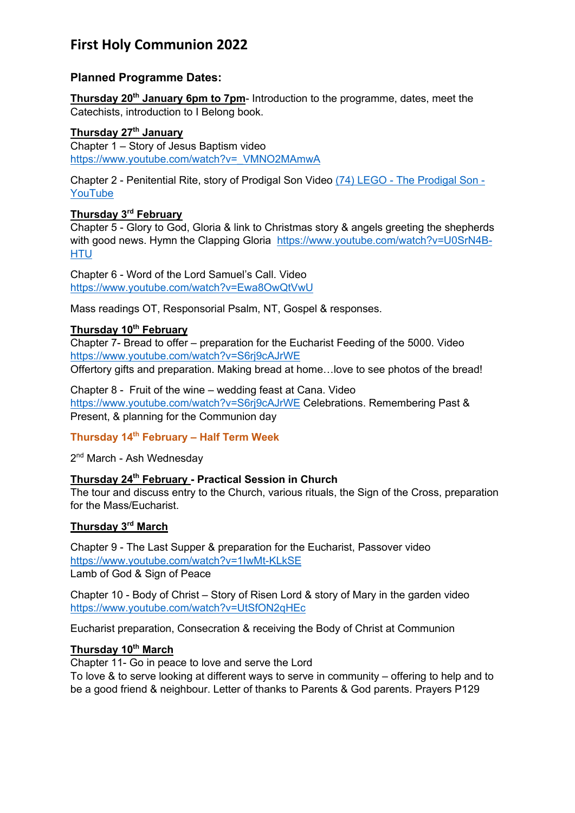# **First Holy Communion 2022**

# **Planned Programme Dates:**

**Thursday 20th January 6pm to 7pm**- Introduction to the programme, dates, meet the Catechists, introduction to I Belong book.

### **Thursday 27th January**

Chapter 1 – Story of Jesus Baptism video https://www.youtube.com/watch?v=\_VMNO2MAmwA

Chapter 2 - Penitential Rite, story of Prodigal Son Video (74) LEGO - The Prodigal Son - **YouTube** 

### **Thursday 3rd February**

Chapter 5 - Glory to God, Gloria & link to Christmas story & angels greeting the shepherds with good news. Hymn the Clapping Gloria https://www.youtube.com/watch?v=U0SrN4B-**HTU** 

Chapter 6 - Word of the Lord Samuel's Call. Video https://www.youtube.com/watch?v=Ewa8OwQtVwU

Mass readings OT, Responsorial Psalm, NT, Gospel & responses.

#### **Thursday 10th February**

Chapter 7- Bread to offer – preparation for the Eucharist Feeding of the 5000. Video https://www.youtube.com/watch?v=S6rj9cAJrWE

Offertory gifts and preparation. Making bread at home…love to see photos of the bread!

Chapter 8 - Fruit of the wine – wedding feast at Cana. Video https://www.youtube.com/watch?v=S6rj9cAJrWE Celebrations. Remembering Past & Present, & planning for the Communion day

#### **Thursday 14th February – Half Term Week**

2<sup>nd</sup> March - Ash Wednesdav

### **Thursday 24th February - Practical Session in Church**

The tour and discuss entry to the Church, various rituals, the Sign of the Cross, preparation for the Mass/Eucharist.

# **Thursday 3rd March**

Chapter 9 - The Last Supper & preparation for the Eucharist, Passover video https://www.youtube.com/watch?v=1IwMt-KLkSE Lamb of God & Sign of Peace

Chapter 10 - Body of Christ – Story of Risen Lord & story of Mary in the garden video https://www.youtube.com/watch?v=UtSfON2qHEc

Eucharist preparation, Consecration & receiving the Body of Christ at Communion

#### **Thursday 10th March**

Chapter 11- Go in peace to love and serve the Lord To love & to serve looking at different ways to serve in community – offering to help and to be a good friend & neighbour. Letter of thanks to Parents & God parents. Prayers P129